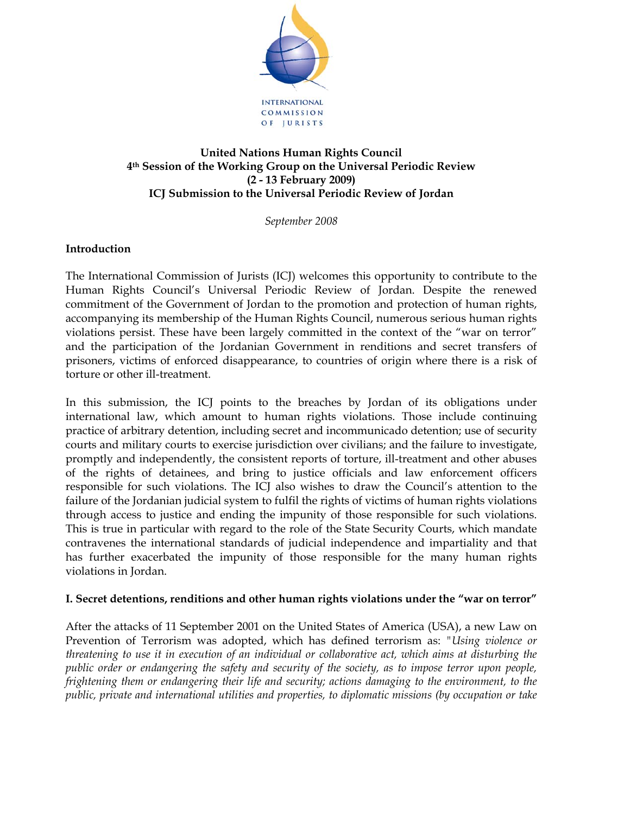

### **United Nations Human Rights Council 4th Session of the Working Group on the Universal Periodic Review (2 - 13 February 2009) ICJ Submission to the Universal Periodic Review of Jordan**

*September 2008* 

# **Introduction**

The International Commission of Jurists (ICJ) welcomes this opportunity to contribute to the Human Rights Council's Universal Periodic Review of Jordan. Despite the renewed commitment of the Government of Jordan to the promotion and protection of human rights, accompanying its membership of the Human Rights Council, numerous serious human rights violations persist. These have been largely committed in the context of the "war on terror" and the participation of the Jordanian Government in renditions and secret transfers of prisoners, victims of enforced disappearance, to countries of origin where there is a risk of torture or other ill-treatment.

In this submission, the ICJ points to the breaches by Jordan of its obligations under international law, which amount to human rights violations. Those include continuing practice of arbitrary detention, including secret and incommunicado detention; use of security courts and military courts to exercise jurisdiction over civilians; and the failure to investigate, promptly and independently, the consistent reports of torture, ill-treatment and other abuses of the rights of detainees, and bring to justice officials and law enforcement officers responsible for such violations. The ICJ also wishes to draw the Council's attention to the failure of the Jordanian judicial system to fulfil the rights of victims of human rights violations through access to justice and ending the impunity of those responsible for such violations. This is true in particular with regard to the role of the State Security Courts, which mandate contravenes the international standards of judicial independence and impartiality and that has further exacerbated the impunity of those responsible for the many human rights violations in Jordan.

### **I. Secret detentions, renditions and other human rights violations under the "war on terror"**

After the attacks of 11 September 2001 on the United States of America (USA), a new Law on Prevention of Terrorism was adopted, which has defined terrorism as: *"Using violence or threatening to use it in execution of an individual or collaborative act, which aims at disturbing the public order or endangering the safety and security of the society, as to impose terror upon people, frightening them or endangering their life and security; actions damaging to the environment, to the public, private and international utilities and properties, to diplomatic missions (by occupation or take*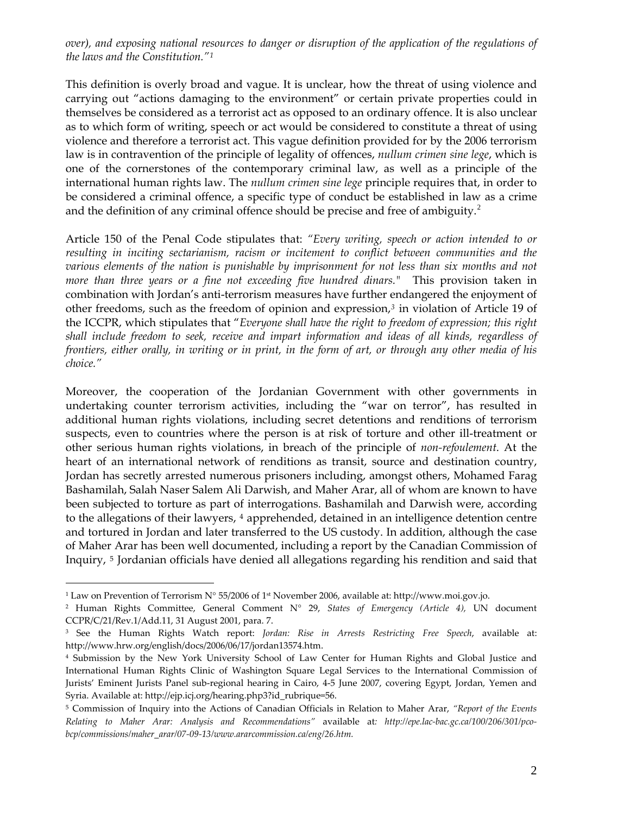*over), and exposing national resources to danger or disruption of the application of the regulations of the laws and the Constitution."[1](#page-1-0)*

This definition is overly broad and vague. It is unclear, how the threat of using violence and carrying out "actions damaging to the environment" or certain private properties could in themselves be considered as a terrorist act as opposed to an ordinary offence. It is also unclear as to which form of writing, speech or act would be considered to constitute a threat of using violence and therefore a terrorist act. This vague definition provided for by the 2006 terrorism law is in contravention of the principle of legality of offences, *nullum crimen sine lege*, which is one of the cornerstones of the contemporary criminal law, as well as a principle of the international human rights law. The *nullum crimen sine lege* principle requires that, in order to be considered a criminal offence, a specific type of conduct be established in law as a crime and the definition of any criminal offence should be precise and free of ambiguity.<sup>[2](#page-1-1)</sup>

Article 150 of the Penal Code stipulates that: *"Every writing, speech or action intended to or resulting in inciting sectarianism, racism or incitement to conflict between communities and the various elements of the nation is punishable by imprisonment for not less than six months and not more than three years or a fine not exceeding five hundred dinars."* This provision taken in combination with Jordan's anti-terrorism measures have further endangered the enjoyment of other freedoms, such as the freedom of opinion and expression,*[3](#page-1-2)* in violation of Article 19 of the ICCPR, which stipulates that "*Everyone shall have the right to freedom of expression; this right shall include freedom to seek, receive and impart information and ideas of all kinds, regardless of frontiers, either orally, in writing or in print, in the form of art, or through any other media of his choice."* 

Moreover, the cooperation of the Jordanian Government with other governments in undertaking counter terrorism activities, including the "war on terror", has resulted in additional human rights violations, including secret detentions and renditions of terrorism suspects, even to countries where the person is at risk of torture and other ill-treatment or other serious human rights violations, in breach of the principle of *non-refoulement*. At the heart of an international network of renditions as transit, source and destination country, Jordan has secretly arrested numerous prisoners including, amongst others, Mohamed Farag Bashamilah, Salah Naser Salem Ali Darwish, and Maher Arar, all of whom are known to have been subjected to torture as part of interrogations. Bashamilah and Darwish were, according to the allegations of their lawyers, [4](#page-1-3) apprehended, detained in an intelligence detention centre and tortured in Jordan and later transferred to the US custody. In addition, although the case of Maher Arar has been well documented, including a report by the Canadian Commission of Inquiry, [5](#page-1-4) Jordanian officials have denied all allegations regarding his rendition and said that

<span id="page-1-0"></span><sup>&</sup>lt;sup>1</sup> Law on Prevention of Terrorism N° 55/2006 of 1<sup>st</sup> November 2006, available at: http://www.moi.gov.jo.

<span id="page-1-1"></span><sup>2</sup> Human Rights Committee, General Comment N° 29, *States of Emergency (Article 4),* UN document CCPR/C/21/Rev.1/Add.11, 31 August 2001, para. 7.

<span id="page-1-2"></span><sup>3</sup> See the Human Rights Watch report: *Jordan: Rise in Arrests Restricting Free Speech*, available at: http://www.hrw.org/english/docs/2006/06/17/jordan13574.htm.

<span id="page-1-3"></span><sup>4</sup> Submission by the New York University School of Law Center for Human Rights and Global Justice and International Human Rights Clinic of Washington Square Legal Services to the International Commission of Jurists' Eminent Jurists Panel sub‐regional hearing in Cairo, 4‐5 June 2007, covering Egypt, Jordan, Yemen and Syria. Available at: http://ejp.icj.org/hearing.php3?id\_rubrique=56.

<span id="page-1-4"></span><sup>5</sup> Commission of Inquiry into the Actions of Canadian Officials in Relation to Maher Arar, *"Report of the Events Relating to Maher Arar: Analysis and Recommendations"* available at*: http://epe.lac‐bac.gc.ca/100/206/301/pco‐ bcp/commissions/maher\_arar/07‐09‐13/www.ararcommission.ca/eng/26.htm.*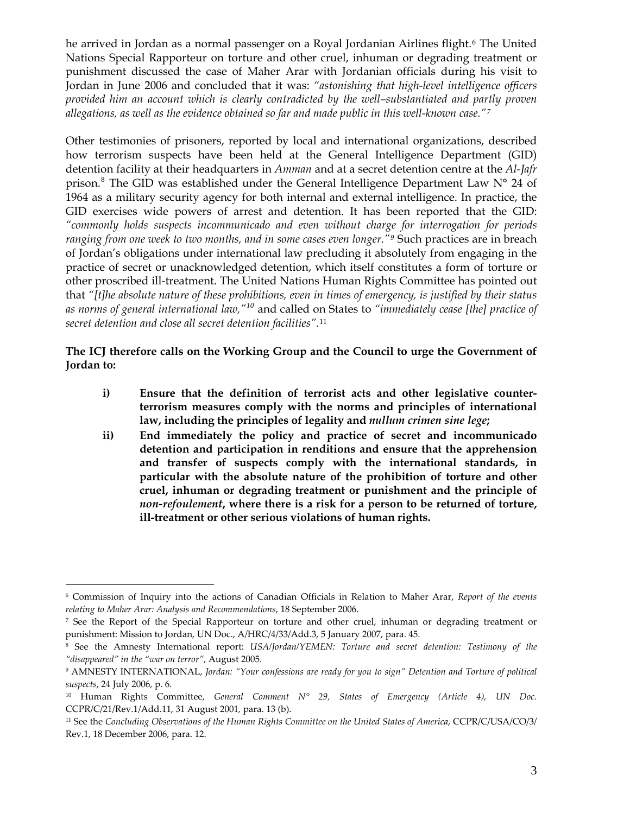he arrived in Jordan as a normal passenger on a Royal Jordanian Airlines flight.<sup>[6](#page-2-0)</sup> The United Nations Special Rapporteur on torture and other cruel, inhuman or degrading treatment or punishment discussed the case of Maher Arar with Jordanian officials during his visit to Jordan in June 2006 and concluded that it was: *"astonishing that high-level intelligence officers provided him an account which is clearly contradicted by the well–substantiated and partly proven allegations, as well as the evidence obtained so far and made public in this well-known case."[7](#page-2-1)*

Other testimonies of prisoners, reported by local and international organizations, described how terrorism suspects have been held at the General Intelligence Department (GID) detention facility at their headquarters in *Amman* and at a secret detention centre at the *Al-Jafr* prison.<sup>[8](#page-2-2)</sup> The GID was established under the General Intelligence Department Law N° 24 of 1964 as a military security agency for both internal and external intelligence. In practice, the GID exercises wide powers of arrest and detention. It has been reported that the GID: *"commonly holds suspects incommunicado and even without charge for interrogation for periods ranging from one week to two months, and in some cases even longer."[9](#page-2-3)* Such practices are in breach of Jordan's obligations under international law precluding it absolutely from engaging in the practice of secret or unacknowledged detention, which itself constitutes a form of torture or other proscribed ill-treatment. The United Nations Human Rights Committee has pointed out that *"[t]he absolute nature of these prohibitions, even in times of emergency, is justified by their status as norms of general international law,"[10](#page-2-4)* and called on States to *"immediately cease [the] practice of secret detention and close all secret detention facilities".*[11](#page-2-5)

## **The ICJ therefore calls on the Working Group and the Council to urge the Government of Jordan to:**

- **i) Ensure that the definition of terrorist acts and other legislative counterterrorism measures comply with the norms and principles of international law, including the principles of legality and** *nullum crimen sine lege***;**
- **ii) End immediately the policy and practice of secret and incommunicado detention and participation in renditions and ensure that the apprehension and transfer of suspects comply with the international standards, in particular with the absolute nature of the prohibition of torture and other cruel, inhuman or degrading treatment or punishment and the principle of**  *non-refoulement***, where there is a risk for a person to be returned of torture, ill-treatment or other serious violations of human rights.**

<span id="page-2-0"></span><sup>6</sup> Commission of Inquiry into the actions of Canadian Officials in Relation to Maher Arar, *Report of the events relating to Maher Arar: Analysis and Recommendations*, 18 September 2006.

<span id="page-2-1"></span><sup>7</sup> See the Report of the Special Rapporteur on torture and other cruel, inhuman or degrading treatment or punishment: Mission to Jordan, UN Doc., A/HRC/4/33/Add.3, 5 January 2007, para. 45.

<span id="page-2-2"></span><sup>8</sup> See the Amnesty International report: *USA/Jordan/YEMEN: Torture and secret detention: Testimony of the "disappeared" in the "war on terror"*, August 2005.

<span id="page-2-3"></span><sup>9</sup> AMNESTY INTERNATIONAL, *Jordan: "Your confessions are ready for you to sign" Detention and Torture of political suspects*, 24 July 2006, p. 6.

<span id="page-2-4"></span><sup>10</sup> Human Rights Committee, *General Comment N° 29, States of Emergency (Article 4), UN Doc.* CCPR/C/21/Rev.1/Add.11, 31 August 2001*,* para. 13 (b).

<span id="page-2-5"></span><sup>11</sup> See the *Concluding Observations of the Human Rights Committee on the United States of America*, CCPR/C/USA/CO/3/ Rev.1, 18 December 2006, para. 12.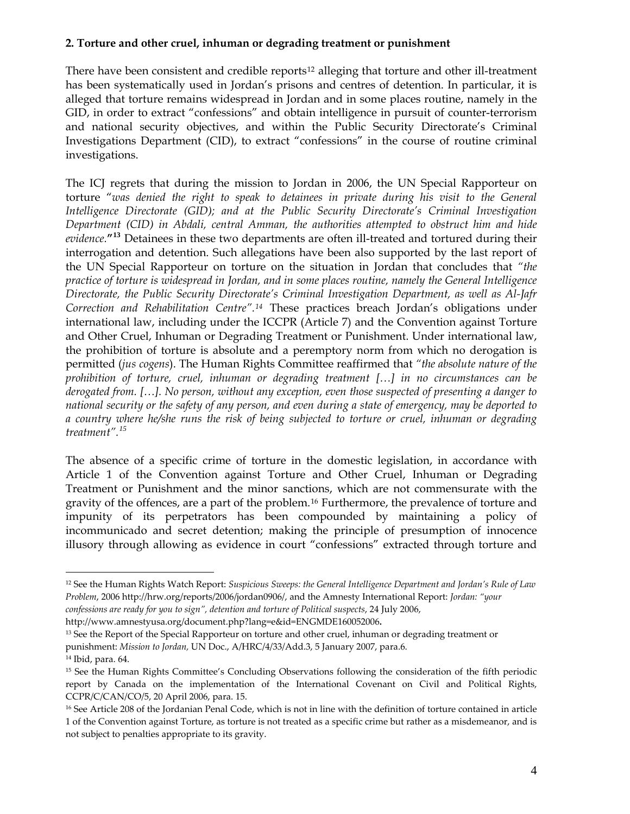## **2. Torture and other cruel, inhuman or degrading treatment or punishment**

There have been consistent and credible reports<sup>[12](#page-3-0)</sup> alleging that torture and other ill-treatment has been systematically used in Jordan's prisons and centres of detention. In particular, it is alleged that torture remains widespread in Jordan and in some places routine, namely in the GID, in order to extract "confessions" and obtain intelligence in pursuit of counter-terrorism and national security objectives, and within the Public Security Directorate's Criminal Investigations Department (CID), to extract "confessions" in the course of routine criminal investigations.

The ICJ regrets that during the mission to Jordan in 2006, the UN Special Rapporteur on torture "*was denied the right to speak to detainees in private during his visit to the General Intelligence Directorate (GID); and at the Public Security Directorate's Criminal Investigation Department (CID) in Abdali, central Amman, the authorities attempted to obstruct him and hide evidence.***"[13](#page-3-1)** Detainees in these two departments are often ill-treated and tortured during their interrogation and detention. Such allegations have been also supported by the last report of the UN Special Rapporteur on torture on the situation in Jordan that concludes that *"the practice of torture is widespread in Jordan, and in some places routine, namely the General Intelligence Directorate, the Public Security Directorate's Criminal Investigation Department, as well as Al-Jafr Correction and Rehabilitation Centre".[14](#page-3-2)* These practices breach Jordan's obligations under international law, including under the ICCPR (Article 7) and the Convention against Torture and Other Cruel, Inhuman or Degrading Treatment or Punishment. Under international law, the prohibition of torture is absolute and a peremptory norm from which no derogation is permitted (*jus cogens*). The Human Rights Committee reaffirmed that *"the absolute nature of the prohibition of torture, cruel, inhuman or degrading treatment […] in no circumstances can be derogated from. […]. No person, without any exception, even those suspected of presenting a danger to national security or the safety of any person, and even during a state of emergency, may be deported to a country where he/she runs the risk of being subjected to torture or cruel, inhuman or degrading treatment".[15](#page-3-3)*

The absence of a specific crime of torture in the domestic legislation, in accordance with Article 1 of the Convention against Torture and Other Cruel, Inhuman or Degrading Treatment or Punishment and the minor sanctions, which are not commensurate with the gravity of the offences, are a part of the problem.[16](#page-3-4) Furthermore, the prevalence of torture and impunity of its perpetrators has been compounded by maintaining a policy of incommunicado and secret detention; making the principle of presumption of innocence illusory through allowing as evidence in court "confessions" extracted through torture and

<http://www.amnestyusa.org/document.php?lang=e&id=ENGMDE160052006>**.**

<span id="page-3-0"></span><sup>12</sup> See the Human Rights Watch Report: *Suspicious Sweeps: the General Intelligence Department and Jordan's Rule of Law Problem*, 2006 http://hrw.org/reports/2006/jordan0906/, and the Amnesty International Report: *Jordan: "your*

*confessions are ready for you to sign", detention and torture of Political suspects*, 24 July 2006,

<span id="page-3-1"></span><sup>&</sup>lt;sup>13</sup> See the Report of the Special Rapporteur on torture and other cruel, inhuman or degrading treatment or punishment: *Mission to Jordan,* UN Doc., A/HRC/4/33/Add.3, 5 January 2007, para.6.

<span id="page-3-2"></span><sup>14</sup> Ibid, para. 64.

<span id="page-3-3"></span><sup>&</sup>lt;sup>15</sup> See the Human Rights Committee's Concluding Observations following the consideration of the fifth periodic report by Canada on the implementation of the International Covenant on Civil and Political Rights, CCPR/C/CAN/CO/5, 20 April 2006, para. 15.

<span id="page-3-4"></span><sup>&</sup>lt;sup>16</sup> See Article 208 of the Jordanian Penal Code, which is not in line with the definition of torture contained in article 1 of the Convention against Torture, as torture is not treated as a specific crime but rather as a misdemeanor, and is not subject to penalties appropriate to its gravity.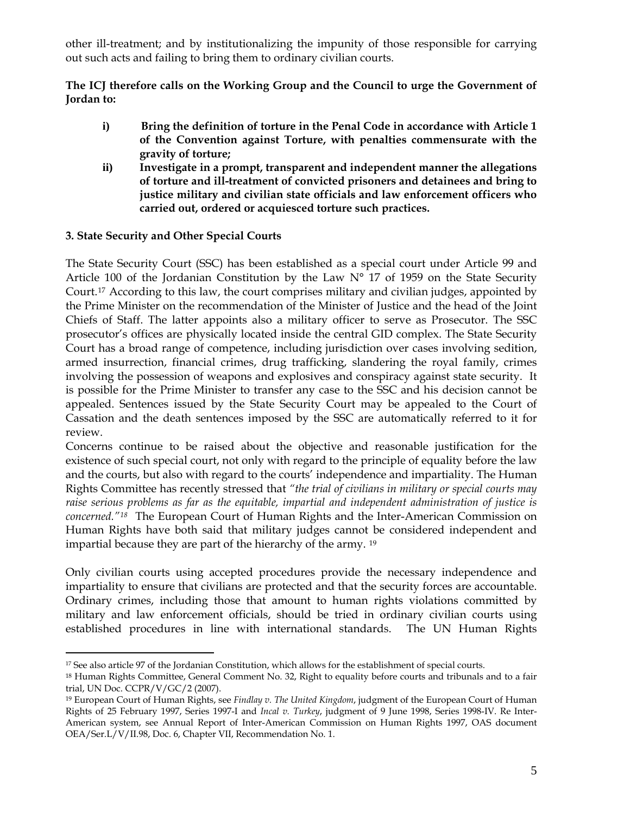other ill-treatment; and by institutionalizing the impunity of those responsible for carrying out such acts and failing to bring them to ordinary civilian courts.

**The ICJ therefore calls on the Working Group and the Council to urge the Government of Jordan to:** 

- **i) Bring the definition of torture in the Penal Code in accordance with Article 1 of the Convention against Torture, with penalties commensurate with the gravity of torture;**
- **ii) Investigate in a prompt, transparent and independent manner the allegations of torture and ill-treatment of convicted prisoners and detainees and bring to justice military and civilian state officials and law enforcement officers who carried out, ordered or acquiesced torture such practices.**

### **3. State Security and Other Special Courts**

 $\overline{a}$ 

The State Security Court (SSC) has been established as a special court under Article 99 and Article 100 of the Jordanian Constitution by the Law N° 17 of 1959 on the State Security Court.[17](#page-4-0) According to this law, the court comprises military and civilian judges, appointed by the Prime Minister on the recommendation of the Minister of Justice and the head of the Joint Chiefs of Staff. The latter appoints also a military officer to serve as Prosecutor. The SSC prosecutor's offices are physically located inside the central GID complex. The State Security Court has a broad range of competence, including jurisdiction over cases involving sedition, armed insurrection, financial crimes, drug trafficking, slandering the royal family, crimes involving the possession of weapons and explosives and conspiracy against state security. It is possible for the Prime Minister to transfer any case to the SSC and his decision cannot be appealed. Sentences issued by the State Security Court may be appealed to the Court of Cassation and the death sentences imposed by the SSC are automatically referred to it for review.

Concerns continue to be raised about the objective and reasonable justification for the existence of such special court, not only with regard to the principle of equality before the law and the courts, but also with regard to the courts' independence and impartiality. The Human Rights Committee has recently stressed that *"the trial of civilians in military or special courts may raise serious problems as far as the equitable, impartial and independent administration of justice is concerned."[18](#page-4-1)* The European Court of Human Rights and the Inter-American Commission on Human Rights have both said that military judges cannot be considered independent and impartial because they are part of the hierarchy of the army. [19](#page-4-2)

Only civilian courts using accepted procedures provide the necessary independence and impartiality to ensure that civilians are protected and that the security forces are accountable. Ordinary crimes, including those that amount to human rights violations committed by military and law enforcement officials, should be tried in ordinary civilian courts using established procedures in line with international standards. The UN Human Rights

<span id="page-4-0"></span><sup>&</sup>lt;sup>17</sup> See also article 97 of the Jordanian Constitution, which allows for the establishment of special courts.

<span id="page-4-1"></span><sup>18</sup> Human Rights Committee, General Comment No. 32, Right to equality before courts and tribunals and to a fair trial, UN Doc. CCPR/V/GC/2 (2007).

<span id="page-4-2"></span><sup>19</sup> European Court of Human Rights, see *Findlay v. The United Kingdom*, judgment of the European Court of Human Rights of 25 February 1997, Series 1997-I and *Incal v. Turkey*, judgment of 9 June 1998, Series 1998-IV. Re Inter-American system, see Annual Report of Inter-American Commission on Human Rights 1997, OAS document OEA/Ser.L/V/II.98, Doc. 6, Chapter VII, Recommendation No. 1.